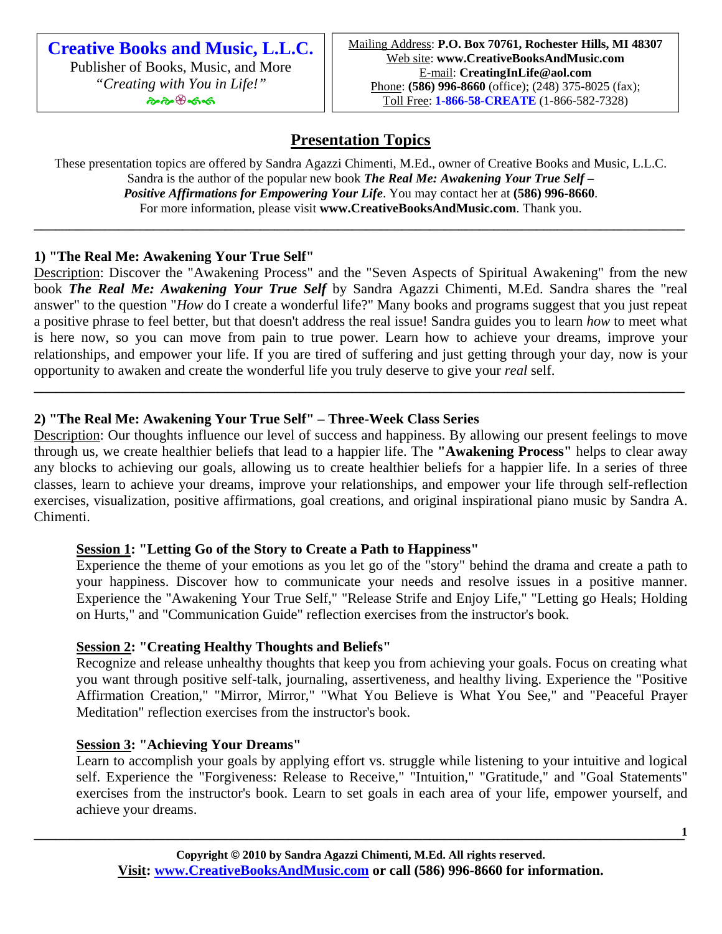**Creative Books and Music, L.L.C.**  Publisher of Books, Music, and More *"Creating with You in Life!"* ๛๛๛๛

# **Presentation Topics**

These presentation topics are offered by Sandra Agazzi Chimenti, M.Ed., owner of Creative Books and Music, L.L.C. Sandra is the author of the popular new book *The Real Me: Awakening Your True Self – Positive Affirmations for Empowering Your Life*. You may contact her at **(586) 996-8660**. For more information, please visit **www.CreativeBooksAndMusic.com**. Thank you.

**\_\_\_\_\_\_\_\_\_\_\_\_\_\_\_\_\_\_\_\_\_\_\_\_\_\_\_\_\_\_\_\_\_\_\_\_\_\_\_\_\_\_\_\_\_\_\_\_\_\_\_\_\_\_\_\_\_\_\_\_\_\_\_\_\_\_\_\_\_\_\_\_\_\_\_\_\_\_\_\_\_\_\_\_\_\_\_\_\_\_\_\_** 

## **1) "The Real Me: Awakening Your True Self"**

Description: Discover the "Awakening Process" and the "Seven Aspects of Spiritual Awakening" from the new book *The Real Me: Awakening Your True Self* by Sandra Agazzi Chimenti, M.Ed. Sandra shares the "real answer" to the question "*How* do I create a wonderful life?" Many books and programs suggest that you just repeat a positive phrase to feel better, but that doesn't address the real issue! Sandra guides you to learn *how* to meet what is here now, so you can move from pain to true power. Learn how to achieve your dreams, improve your relationships, and empower your life. If you are tired of suffering and just getting through your day, now is your opportunity to awaken and create the wonderful life you truly deserve to give your *real* self.

**\_\_\_\_\_\_\_\_\_\_\_\_\_\_\_\_\_\_\_\_\_\_\_\_\_\_\_\_\_\_\_\_\_\_\_\_\_\_\_\_\_\_\_\_\_\_\_\_\_\_\_\_\_\_\_\_\_\_\_\_\_\_\_\_\_\_\_\_\_\_\_\_\_\_\_\_\_\_\_\_\_\_\_\_\_\_\_\_\_\_\_\_** 

## **2) "The Real Me: Awakening Your True Self" – Three-Week Class Series**

Description: Our thoughts influence our level of success and happiness. By allowing our present feelings to move through us, we create healthier beliefs that lead to a happier life. The **"Awakening Process"** helps to clear away any blocks to achieving our goals, allowing us to create healthier beliefs for a happier life. In a series of three classes, learn to achieve your dreams, improve your relationships, and empower your life through self-reflection exercises, visualization, positive affirmations, goal creations, and original inspirational piano music by Sandra A. Chimenti.

## **Session 1: "Letting Go of the Story to Create a Path to Happiness"**

Experience the theme of your emotions as you let go of the "story" behind the drama and create a path to your happiness. Discover how to communicate your needs and resolve issues in a positive manner. Experience the "Awakening Your True Self," "Release Strife and Enjoy Life," "Letting go Heals; Holding on Hurts," and "Communication Guide" reflection exercises from the instructor's book.

## **Session 2: "Creating Healthy Thoughts and Beliefs"**

Recognize and release unhealthy thoughts that keep you from achieving your goals. Focus on creating what you want through positive self-talk, journaling, assertiveness, and healthy living. Experience the "Positive Affirmation Creation," "Mirror, Mirror," "What You Believe is What You See," and "Peaceful Prayer Meditation" reflection exercises from the instructor's book.

## **Session 3: "Achieving Your Dreams"**

Learn to accomplish your goals by applying effort vs. struggle while listening to your intuitive and logical self. Experience the "Forgiveness: Release to Receive," "Intuition," "Gratitude," and "Goal Statements" exercises from the instructor's book. Learn to set goals in each area of your life, empower yourself, and achieve your dreams.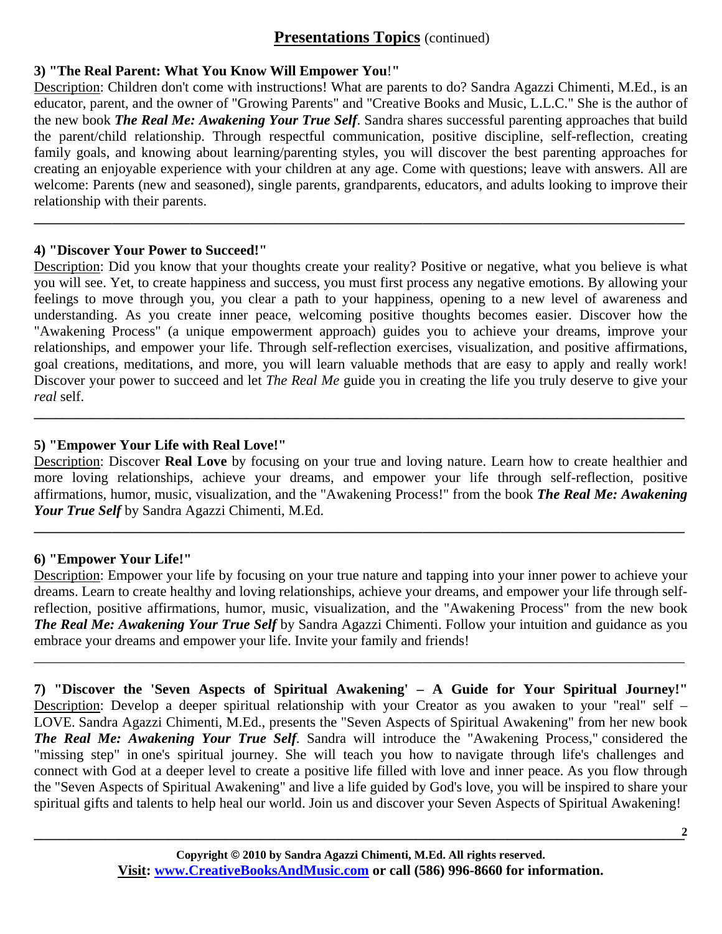### **3) "The Real Parent: What You Know Will Empower You**!**"**

Description: Children don't come with instructions! What are parents to do? Sandra Agazzi Chimenti, M.Ed., is an educator, parent, and the owner of "Growing Parents" and "Creative Books and Music, L.L.C." She is the author of the new book *The Real Me: Awakening Your True Self*. Sandra shares successful parenting approaches that build the parent/child relationship. Through respectful communication, positive discipline, self-reflection, creating family goals, and knowing about learning/parenting styles, you will discover the best parenting approaches for creating an enjoyable experience with your children at any age. Come with questions; leave with answers. All are welcome: Parents (new and seasoned), single parents, grandparents, educators, and adults looking to improve their relationship with their parents.

**\_\_\_\_\_\_\_\_\_\_\_\_\_\_\_\_\_\_\_\_\_\_\_\_\_\_\_\_\_\_\_\_\_\_\_\_\_\_\_\_\_\_\_\_\_\_\_\_\_\_\_\_\_\_\_\_\_\_\_\_\_\_\_\_\_\_\_\_\_\_\_\_\_\_\_\_\_\_\_\_\_\_\_\_\_\_\_\_\_\_\_\_** 

#### **4) "Discover Your Power to Succeed!"**

Description: Did you know that your thoughts create your reality? Positive or negative, what you believe is what you will see. Yet, to create happiness and success, you must first process any negative emotions. By allowing your feelings to move through you, you clear a path to your happiness, opening to a new level of awareness and understanding. As you create inner peace, welcoming positive thoughts becomes easier. Discover how the "Awakening Process" (a unique empowerment approach) guides you to achieve your dreams, improve your relationships, and empower your life. Through self-reflection exercises, visualization, and positive affirmations, goal creations, meditations, and more, you will learn valuable methods that are easy to apply and really work! Discover your power to succeed and let *The Real Me* guide you in creating the life you truly deserve to give your *real* self.

### **5) "Empower Your Life with Real Love!"**

Description: Discover **Real Love** by focusing on your true and loving nature. Learn how to create healthier and more loving relationships, achieve your dreams, and empower your life through self-reflection, positive affirmations, humor, music, visualization, and the "Awakening Process!" from the book *The Real Me: Awakening Your True Self* by Sandra Agazzi Chimenti, M.Ed.

**\_\_\_\_\_\_\_\_\_\_\_\_\_\_\_\_\_\_\_\_\_\_\_\_\_\_\_\_\_\_\_\_\_\_\_\_\_\_\_\_\_\_\_\_\_\_\_\_\_\_\_\_\_\_\_\_\_\_\_\_\_\_\_\_\_\_\_\_\_\_\_\_\_\_\_\_\_\_\_\_\_\_\_\_\_\_\_\_\_\_\_\_** 

**\_\_\_\_\_\_\_\_\_\_\_\_\_\_\_\_\_\_\_\_\_\_\_\_\_\_\_\_\_\_\_\_\_\_\_\_\_\_\_\_\_\_\_\_\_\_\_\_\_\_\_\_\_\_\_\_\_\_\_\_\_\_\_\_\_\_\_\_\_\_\_\_\_\_\_\_\_\_\_\_\_\_\_\_\_\_\_\_\_\_\_\_** 

#### **6) "Empower Your Life!"**

Description: Empower your life by focusing on your true nature and tapping into your inner power to achieve your dreams. Learn to create healthy and loving relationships, achieve your dreams, and empower your life through selfreflection, positive affirmations, humor, music, visualization, and the "Awakening Process" from the new book *The Real Me: Awakening Your True Self* by Sandra Agazzi Chimenti. Follow your intuition and guidance as you embrace your dreams and empower your life. Invite your family and friends!

\_\_\_\_\_\_\_\_\_\_\_\_\_\_\_\_\_\_\_\_\_\_\_\_\_\_\_\_\_\_\_\_\_\_\_\_\_\_\_\_\_\_\_\_\_\_\_\_\_\_\_\_\_\_\_\_\_\_\_\_\_\_\_\_\_\_\_\_\_\_\_\_\_\_\_\_\_\_\_\_\_\_\_\_\_\_\_\_\_\_\_\_

**7) "Discover the 'Seven Aspects of Spiritual Awakening' – A Guide for Your Spiritual Journey!"**  Description: Develop a deeper spiritual relationship with your Creator as you awaken to your "real" self – LOVE. Sandra Agazzi Chimenti, M.Ed., presents the "Seven Aspects of Spiritual Awakening" from her new book *The Real Me: Awakening Your True Self*. Sandra will introduce the "Awakening Process," considered the "missing step" in one's spiritual journey. She will teach you how to navigate through life's challenges and connect with God at a deeper level to create a positive life filled with love and inner peace. As you flow through the "Seven Aspects of Spiritual Awakening" and live a life guided by God's love, you will be inspired to share your spiritual gifts and talents to help heal our world. Join us and discover your Seven Aspects of Spiritual Awakening!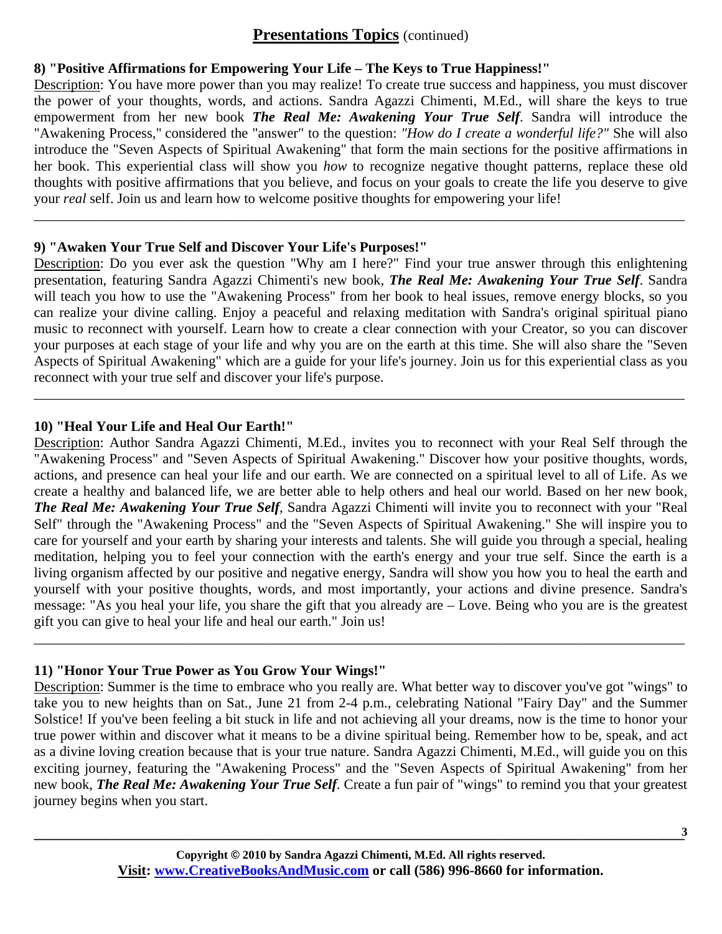### **8) "Positive Affirmations for Empowering Your Life – The Keys to True Happiness!"**

Description: You have more power than you may realize! To create true success and happiness, you must discover the power of your thoughts, words, and actions. Sandra Agazzi Chimenti, M.Ed., will share the keys to true empowerment from her new book *The Real Me: Awakening Your True Self*. Sandra will introduce the "Awakening Process," considered the "answer" to the question: *"How do I create a wonderful life?"* She will also introduce the "Seven Aspects of Spiritual Awakening" that form the main sections for the positive affirmations in her book. This experiential class will show you *how* to recognize negative thought patterns, replace these old thoughts with positive affirmations that you believe, and focus on your goals to create the life you deserve to give your *real* self. Join us and learn how to welcome positive thoughts for empowering your life!

\_\_\_\_\_\_\_\_\_\_\_\_\_\_\_\_\_\_\_\_\_\_\_\_\_\_\_\_\_\_\_\_\_\_\_\_\_\_\_\_\_\_\_\_\_\_\_\_\_\_\_\_\_\_\_\_\_\_\_\_\_\_\_\_\_\_\_\_\_\_\_\_\_\_\_\_\_\_\_\_\_\_\_\_\_\_\_\_\_\_\_\_

### **9) "Awaken Your True Self and Discover Your Life's Purposes!"**

Description: Do you ever ask the question "Why am I here?" Find your true answer through this enlightening presentation, featuring Sandra Agazzi Chimenti's new book, *The Real Me: Awakening Your True Self*. Sandra will teach you how to use the "Awakening Process" from her book to heal issues, remove energy blocks, so you can realize your divine calling. Enjoy a peaceful and relaxing meditation with Sandra's original spiritual piano music to reconnect with yourself. Learn how to create a clear connection with your Creator, so you can discover your purposes at each stage of your life and why you are on the earth at this time. She will also share the "Seven Aspects of Spiritual Awakening" which are a guide for your life's journey. Join us for this experiential class as you reconnect with your true self and discover your life's purpose.

\_\_\_\_\_\_\_\_\_\_\_\_\_\_\_\_\_\_\_\_\_\_\_\_\_\_\_\_\_\_\_\_\_\_\_\_\_\_\_\_\_\_\_\_\_\_\_\_\_\_\_\_\_\_\_\_\_\_\_\_\_\_\_\_\_\_\_\_\_\_\_\_\_\_\_\_\_\_\_\_\_\_\_\_\_\_\_\_\_\_\_\_

### **10) "Heal Your Life and Heal Our Earth!"**

Description: Author Sandra Agazzi Chimenti, M.Ed., invites you to reconnect with your Real Self through the "Awakening Process" and "Seven Aspects of Spiritual Awakening." Discover how your positive thoughts, words, actions, and presence can heal your life and our earth. We are connected on a spiritual level to all of Life. As we create a healthy and balanced life, we are better able to help others and heal our world. Based on her new book, *The Real Me: Awakening Your True Self,* Sandra Agazzi Chimenti will invite you to reconnect with your "Real Self" through the "Awakening Process" and the "Seven Aspects of Spiritual Awakening." She will inspire you to care for yourself and your earth by sharing your interests and talents. She will guide you through a special, healing meditation, helping you to feel your connection with the earth's energy and your true self. Since the earth is a living organism affected by our positive and negative energy, Sandra will show you how you to heal the earth and yourself with your positive thoughts, words, and most importantly, your actions and divine presence. Sandra's message: "As you heal your life, you share the gift that you already are – Love. Being who you are is the greatest gift you can give to heal your life and heal our earth." Join us!

## **11) "Honor Your True Power as You Grow Your Wings!"**

Description: Summer is the time to embrace who you really are. What better way to discover you've got "wings" to take you to new heights than on Sat., June 21 from 2-4 p.m., celebrating National "Fairy Day" and the Summer Solstice! If you've been feeling a bit stuck in life and not achieving all your dreams, now is the time to honor your true power within and discover what it means to be a divine spiritual being. Remember how to be, speak, and act as a divine loving creation because that is your true nature. Sandra Agazzi Chimenti, M.Ed., will guide you on this exciting journey, featuring the "Awakening Process" and the "Seven Aspects of Spiritual Awakening" from her new book, *The Real Me: Awakening Your True Self.* Create a fun pair of "wings" to remind you that your greatest journey begins when you start.

\_\_\_\_\_\_\_\_\_\_\_\_\_\_\_\_\_\_\_\_\_\_\_\_\_\_\_\_\_\_\_\_\_\_\_\_\_\_\_\_\_\_\_\_\_\_\_\_\_\_\_\_\_\_\_\_\_\_\_\_\_\_\_\_\_\_\_\_\_\_\_\_\_\_\_\_\_\_\_\_\_\_\_\_\_\_\_\_\_\_\_\_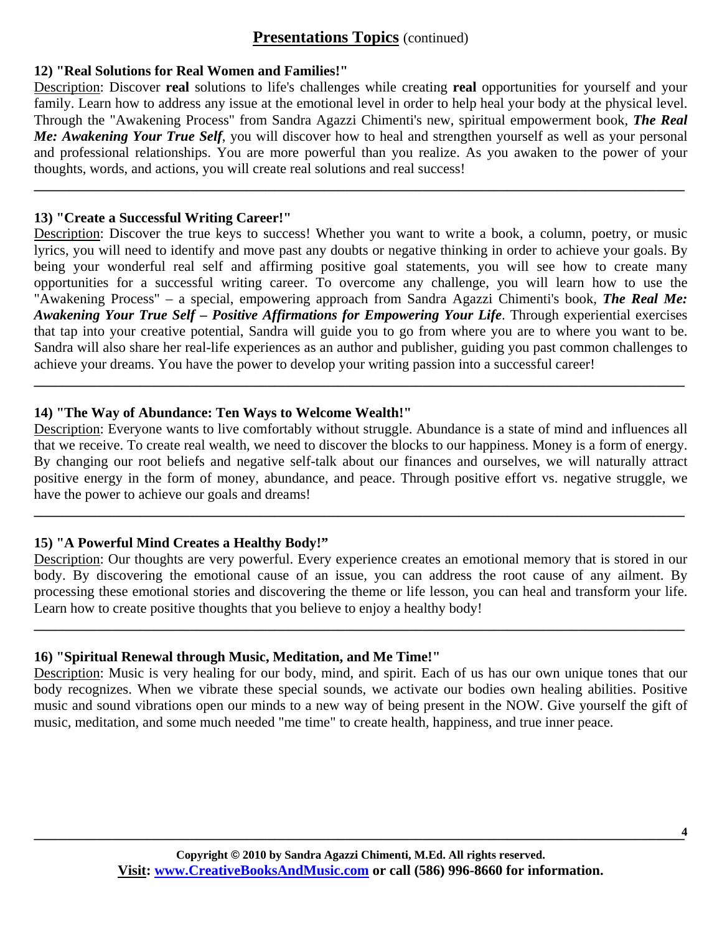#### **12) "Real Solutions for Real Women and Families!"**

Description: Discover **real** solutions to life's challenges while creating **real** opportunities for yourself and your family. Learn how to address any issue at the emotional level in order to help heal your body at the physical level. Through the "Awakening Process" from Sandra Agazzi Chimenti's new, spiritual empowerment book, *The Real Me: Awakening Your True Self*, you will discover how to heal and strengthen yourself as well as your personal and professional relationships. You are more powerful than you realize. As you awaken to the power of your thoughts, words, and actions, you will create real solutions and real success!

**\_\_\_\_\_\_\_\_\_\_\_\_\_\_\_\_\_\_\_\_\_\_\_\_\_\_\_\_\_\_\_\_\_\_\_\_\_\_\_\_\_\_\_\_\_\_\_\_\_\_\_\_\_\_\_\_\_\_\_\_\_\_\_\_\_\_\_\_\_\_\_\_\_\_\_\_\_\_\_\_\_\_\_\_\_\_\_\_\_\_\_\_** 

#### **13) "Create a Successful Writing Career!"**

Description: Discover the true keys to success! Whether you want to write a book, a column, poetry, or music lyrics, you will need to identify and move past any doubts or negative thinking in order to achieve your goals. By being your wonderful real self and affirming positive goal statements, you will see how to create many opportunities for a successful writing career. To overcome any challenge, you will learn how to use the "Awakening Process" – a special, empowering approach from Sandra Agazzi Chimenti's book, *The Real Me: Awakening Your True Self – Positive Affirmations for Empowering Your Life*. Through experiential exercises that tap into your creative potential, Sandra will guide you to go from where you are to where you want to be. Sandra will also share her real-life experiences as an author and publisher, guiding you past common challenges to achieve your dreams. You have the power to develop your writing passion into a successful career!

#### **14) "The Way of Abundance: Ten Ways to Welcome Wealth!"**

Description: Everyone wants to live comfortably without struggle. Abundance is a state of mind and influences all that we receive. To create real wealth, we need to discover the blocks to our happiness. Money is a form of energy. By changing our root beliefs and negative self-talk about our finances and ourselves, we will naturally attract positive energy in the form of money, abundance, and peace. Through positive effort vs. negative struggle, we have the power to achieve our goals and dreams!

**\_\_\_\_\_\_\_\_\_\_\_\_\_\_\_\_\_\_\_\_\_\_\_\_\_\_\_\_\_\_\_\_\_\_\_\_\_\_\_\_\_\_\_\_\_\_\_\_\_\_\_\_\_\_\_\_\_\_\_\_\_\_\_\_\_\_\_\_\_\_\_\_\_\_\_\_\_\_\_\_\_\_\_\_\_\_\_\_\_\_\_\_** 

**\_\_\_\_\_\_\_\_\_\_\_\_\_\_\_\_\_\_\_\_\_\_\_\_\_\_\_\_\_\_\_\_\_\_\_\_\_\_\_\_\_\_\_\_\_\_\_\_\_\_\_\_\_\_\_\_\_\_\_\_\_\_\_\_\_\_\_\_\_\_\_\_\_\_\_\_\_\_\_\_\_\_\_\_\_\_\_\_\_\_\_\_** 

### **15) "A Powerful Mind Creates a Healthy Body!"**

Description: Our thoughts are very powerful. Every experience creates an emotional memory that is stored in our body. By discovering the emotional cause of an issue, you can address the root cause of any ailment. By processing these emotional stories and discovering the theme or life lesson, you can heal and transform your life. Learn how to create positive thoughts that you believe to enjoy a healthy body!

**\_\_\_\_\_\_\_\_\_\_\_\_\_\_\_\_\_\_\_\_\_\_\_\_\_\_\_\_\_\_\_\_\_\_\_\_\_\_\_\_\_\_\_\_\_\_\_\_\_\_\_\_\_\_\_\_\_\_\_\_\_\_\_\_\_\_\_\_\_\_\_\_\_\_\_\_\_\_\_\_\_\_\_\_\_\_\_\_\_\_\_\_** 

### **16) "Spiritual Renewal through Music, Meditation, and Me Time!"**

Description: Music is very healing for our body, mind, and spirit. Each of us has our own unique tones that our body recognizes. When we vibrate these special sounds, we activate our bodies own healing abilities. Positive music and sound vibrations open our minds to a new way of being present in the NOW. Give yourself the gift of music, meditation, and some much needed "me time" to create health, happiness, and true inner peace.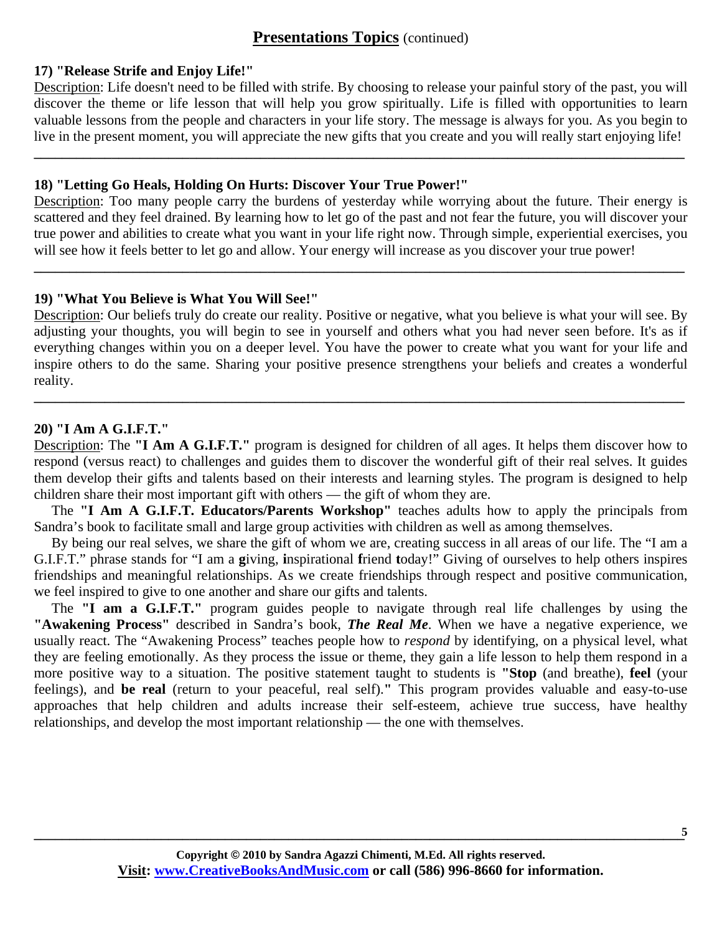#### **17) "Release Strife and Enjoy Life!"**

Description: Life doesn't need to be filled with strife. By choosing to release your painful story of the past, you will discover the theme or life lesson that will help you grow spiritually. Life is filled with opportunities to learn valuable lessons from the people and characters in your life story. The message is always for you. As you begin to live in the present moment, you will appreciate the new gifts that you create and you will really start enjoying life!

**\_\_\_\_\_\_\_\_\_\_\_\_\_\_\_\_\_\_\_\_\_\_\_\_\_\_\_\_\_\_\_\_\_\_\_\_\_\_\_\_\_\_\_\_\_\_\_\_\_\_\_\_\_\_\_\_\_\_\_\_\_\_\_\_\_\_\_\_\_\_\_\_\_\_\_\_\_\_\_\_\_\_\_\_\_\_\_\_\_\_\_\_** 

#### **18) "Letting Go Heals, Holding On Hurts: Discover Your True Power!"**

Description: Too many people carry the burdens of yesterday while worrying about the future. Their energy is scattered and they feel drained. By learning how to let go of the past and not fear the future, you will discover your true power and abilities to create what you want in your life right now. Through simple, experiential exercises, you will see how it feels better to let go and allow. Your energy will increase as you discover your true power!

**\_\_\_\_\_\_\_\_\_\_\_\_\_\_\_\_\_\_\_\_\_\_\_\_\_\_\_\_\_\_\_\_\_\_\_\_\_\_\_\_\_\_\_\_\_\_\_\_\_\_\_\_\_\_\_\_\_\_\_\_\_\_\_\_\_\_\_\_\_\_\_\_\_\_\_\_\_\_\_\_\_\_\_\_\_\_\_\_\_\_\_\_** 

### **19) "What You Believe is What You Will See!"**

Description: Our beliefs truly do create our reality. Positive or negative, what you believe is what your will see. By adjusting your thoughts, you will begin to see in yourself and others what you had never seen before. It's as if everything changes within you on a deeper level. You have the power to create what you want for your life and inspire others to do the same. Sharing your positive presence strengthens your beliefs and creates a wonderful reality.

**\_\_\_\_\_\_\_\_\_\_\_\_\_\_\_\_\_\_\_\_\_\_\_\_\_\_\_\_\_\_\_\_\_\_\_\_\_\_\_\_\_\_\_\_\_\_\_\_\_\_\_\_\_\_\_\_\_\_\_\_\_\_\_\_\_\_\_\_\_\_\_\_\_\_\_\_\_\_\_\_\_\_\_\_\_\_\_\_\_\_\_\_** 

#### **20) "I Am A G.I.F.T."**

Description: The **"I Am A G.I.F.T."** program is designed for children of all ages. It helps them discover how to respond (versus react) to challenges and guides them to discover the wonderful gift of their real selves. It guides them develop their gifts and talents based on their interests and learning styles. The program is designed to help children share their most important gift with others — the gift of whom they are.

 The **"I Am A G.I.F.T. Educators/Parents Workshop"** teaches adults how to apply the principals from Sandra's book to facilitate small and large group activities with children as well as among themselves.

 By being our real selves, we share the gift of whom we are, creating success in all areas of our life. The "I am a G.I.F.T." phrase stands for "I am a **g**iving, **i**nspirational **f**riend **t**oday!" Giving of ourselves to help others inspires friendships and meaningful relationships. As we create friendships through respect and positive communication, we feel inspired to give to one another and share our gifts and talents.

 The **"I am a G.I.F.T."** program guides people to navigate through real life challenges by using the **"Awakening Process"** described in Sandra's book, *The Real Me*. When we have a negative experience, we usually react. The "Awakening Process" teaches people how to *respond* by identifying, on a physical level, what they are feeling emotionally. As they process the issue or theme, they gain a life lesson to help them respond in a more positive way to a situation. The positive statement taught to students is **"Stop** (and breathe), **feel** (your feelings), and **be real** (return to your peaceful, real self).**"** This program provides valuable and easy-to-use approaches that help children and adults increase their self-esteem, achieve true success, have healthy relationships, and develop the most important relationship — the one with themselves.